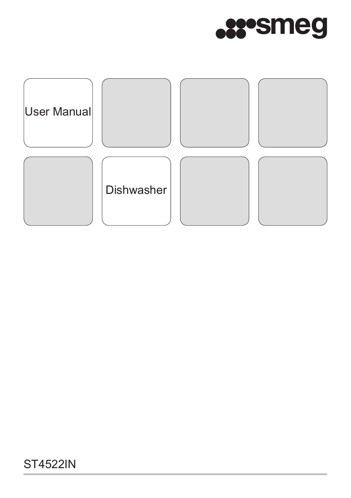

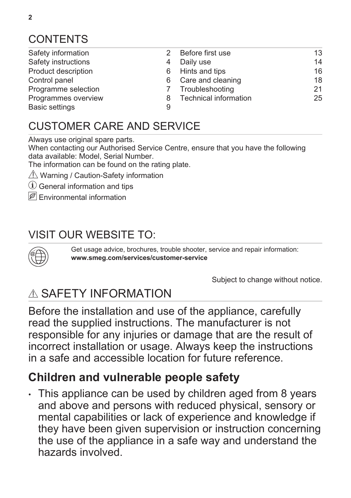# **CONTENTS**

- Safety information 2 [Safety instructions](#page-3-0) [4](#page-3-0)
- [Product description](#page-5-0) [6](#page-5-0)
- 
- [Control panel](#page-5-0) [6](#page-5-0)<br>Programme selection 6 7 [Programme selection](#page-6-0)
- [Programmes overview](#page-7-0) [8](#page-7-0)
- [Basic settings](#page-8-0) [9](#page-8-0) [Before first use](#page-12-0) [13](#page-12-0) [Daily use](#page-13-0) [14](#page-13-0) [Hints and tips](#page-15-0) [16](#page-15-0) [Care and cleaning](#page-17-0) [18](#page-17-0)<br>Troubleshooting 19 (21) **[Troubleshooting](#page-20-0)** [Technical information](#page-24-0) [25](#page-24-0)

# CUSTOMER CARE AND SERVICE

Always use original spare parts.

When contacting our Authorised Service Centre, ensure that you have the following data available: Model, Serial Number.

The information can be found on the rating plate.

- $\triangle$  Warning / Caution-Safety information
- General information and tips
- Environmental information

# VISIT OUR WEBSITE TO:



Get usage advice, brochures, trouble shooter, service and repair information: **www.smeg.com/services/customer-service**

Subject to change without notice.

# A SAFFTY INFORMATION

Before the installation and use of the appliance, carefully read the supplied instructions. The manufacturer is not responsible for any injuries or damage that are the result of incorrect installation or usage. Always keep the instructions in a safe and accessible location for future reference.

# **Children and vulnerable people safety**

• This appliance can be used by children aged from 8 years and above and persons with reduced physical, sensory or mental capabilities or lack of experience and knowledge if they have been given supervision or instruction concerning the use of the appliance in a safe way and understand the hazards involved.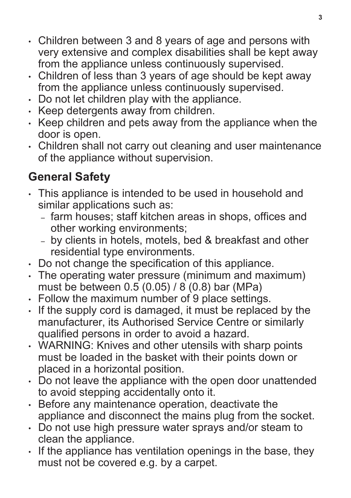- Children between 3 and 8 years of age and persons with very extensive and complex disabilities shall be kept away from the appliance unless continuously supervised.
- Children of less than 3 years of age should be kept away from the appliance unless continuously supervised.
- Do not let children play with the appliance.
- Keep detergents away from children.
- Keep children and pets away from the appliance when the door is open.
- Children shall not carry out cleaning and user maintenance of the appliance without supervision.

# **General Safety**

- This appliance is intended to be used in household and similar applications such as:
	- farm houses; staff kitchen areas in shops, offices and other working environments;
	- by clients in hotels, motels, bed & breakfast and other residential type environments.
- Do not change the specification of this appliance.
- The operating water pressure (minimum and maximum) must be between 0.5 (0.05) / 8 (0.8) bar (MPa)
- Follow the maximum number of 9 place settings.
- If the supply cord is damaged, it must be replaced by the manufacturer, its Authorised Service Centre or similarly qualified persons in order to avoid a hazard.
- WARNING: Knives and other utensils with sharp points must be loaded in the basket with their points down or placed in a horizontal position.
- Do not leave the appliance with the open door unattended to avoid stepping accidentally onto it.
- Before any maintenance operation, deactivate the appliance and disconnect the mains plug from the socket.
- Do not use high pressure water sprays and/or steam to clean the appliance.
- If the appliance has ventilation openings in the base, they must not be covered e.g. by a carpet.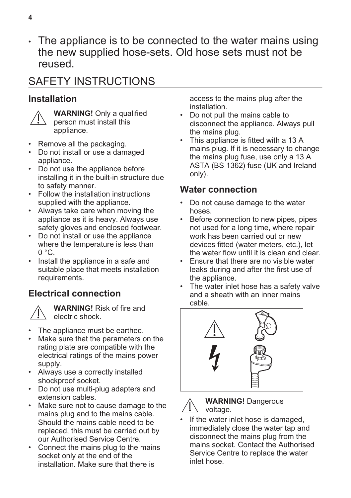<span id="page-3-0"></span>• The appliance is to be connected to the water mains using the new supplied hose-sets. Old hose sets must not be reused.

# SAFETY INSTRUCTIONS

### **Installation**



**WARNING!** Only a qualified person must install this appliance.

- Remove all the packaging.
- Do not install or use a damaged appliance.
- Do not use the appliance before installing it in the built-in structure due to safety manner.
- Follow the installation instructions supplied with the appliance.
- Always take care when moving the appliance as it is heavy. Always use safety gloves and enclosed footwear.
- Do not install or use the appliance where the temperature is less than  $0 \degree C$ .
- Install the appliance in a safe and suitable place that meets installation requirements.

## **Electrical connection**



**WARNING!** Risk of fire and electric shock.

- The appliance must be earthed.
- Make sure that the parameters on the rating plate are compatible with the electrical ratings of the mains power supply.
- Always use a correctly installed shockproof socket.
- Do not use multi-plug adapters and extension cables.
- Make sure not to cause damage to the mains plug and to the mains cable. Should the mains cable need to be replaced, this must be carried out by our Authorised Service Centre.
- Connect the mains plug to the mains socket only at the end of the installation. Make sure that there is

access to the mains plug after the installation.

- Do not pull the mains cable to disconnect the appliance. Always pull the mains plug.
- This appliance is fitted with a 13 A mains plug. If it is necessary to change the mains plug fuse, use only a 13 A ASTA (BS 1362) fuse (UK and Ireland only).

### **Water connection**

- Do not cause damage to the water hoses.
- Before connection to new pipes, pipes not used for a long time, where repair work has been carried out or new devices fitted (water meters, etc.), let the water flow until it is clean and clear.
- Ensure that there are no visible water leaks during and after the first use of the appliance.
- The water inlet hose has a safety valve and a sheath with an inner mains cable.





**WARNING!** Dangerous voltage.

If the water inlet hose is damaged, immediately close the water tap and disconnect the mains plug from the mains socket. Contact the Authorised Service Centre to replace the water inlet hose.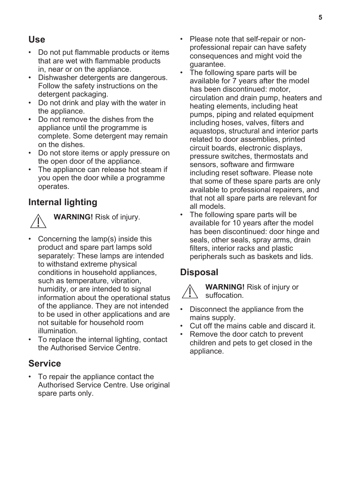### **Use**

- Do not put flammable products or items that are wet with flammable products in, near or on the appliance.
- Dishwasher detergents are dangerous. Follow the safety instructions on the detergent packaging.
- Do not drink and play with the water in the appliance.
- Do not remove the dishes from the appliance until the programme is complete. Some detergent may remain on the dishes.
- Do not store items or apply pressure on the open door of the appliance.
- The appliance can release hot steam if you open the door while a programme operates.

#### **Internal lighting**



**WARNING!** Risk of injury.

- Concerning the lamp(s) inside this product and spare part lamps sold separately: These lamps are intended to withstand extreme physical conditions in household appliances, such as temperature, vibration, humidity, or are intended to signal information about the operational status of the appliance. They are not intended to be used in other applications and are not suitable for household room illumination.
- To replace the internal lighting, contact the Authorised Service Centre.

#### **Service**

• To repair the appliance contact the Authorised Service Centre. Use original spare parts only.

- Please note that self-repair or nonprofessional repair can have safety consequences and might void the guarantee.
- The following spare parts will be available for 7 years after the model has been discontinued: motor, circulation and drain pump, heaters and heating elements, including heat pumps, piping and related equipment including hoses, valves, filters and aquastops, structural and interior parts related to door assemblies, printed circuit boards, electronic displays, pressure switches, thermostats and sensors, software and firmware including reset software. Please note that some of these spare parts are only available to professional repairers, and that not all spare parts are relevant for all models.
- The following spare parts will be available for 10 years after the model has been discontinued: door hinge and seals, other seals, spray arms, drain filters, interior racks and plastic peripherals such as baskets and lids.

#### **Disposal**



**WARNING!** Risk of injury or suffocation.

- Disconnect the appliance from the mains supply.
- Cut off the mains cable and discard it.
- Remove the door catch to prevent children and pets to get closed in the appliance.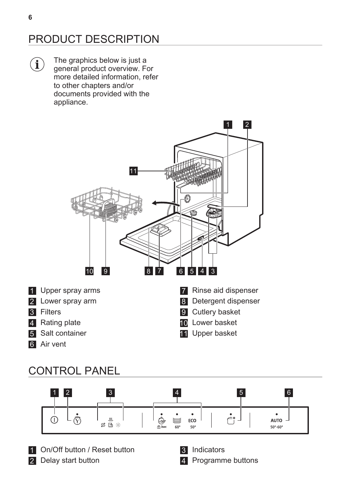# <span id="page-5-0"></span>PRODUCT DESCRIPTION

The graphics below is just a  $\left( \mathbf{i}\right)$ general product overview. For more detailed information, refer to other chapters and/or documents provided with the appliance.



# CONTROL PANEL



1 On/Off button / Reset button

2 Delay start button

Indicators

Programme buttons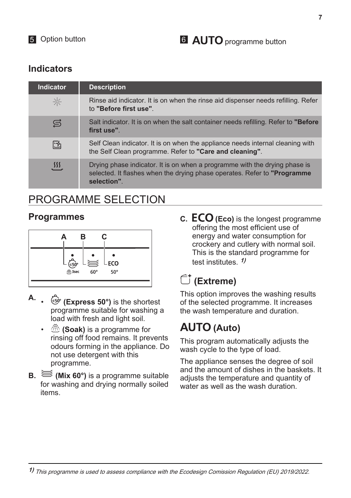## <span id="page-6-0"></span>**Indicators**

| <b>Indicator</b> | <b>Description</b>                                                                                                                                                     |
|------------------|------------------------------------------------------------------------------------------------------------------------------------------------------------------------|
| $\sim$           | Rinse aid indicator. It is on when the rinse aid dispenser needs refilling. Refer<br>to "Before first use".                                                            |
| S                | Salt indicator. It is on when the salt container needs refilling. Refer to "Before<br>first use".                                                                      |
| l Y              | Self Clean indicator. It is on when the appliance needs internal cleaning with<br>the Self Clean programme. Refer to "Care and cleaning".                              |
| $\frac{1}{2}$    | Drying phase indicator. It is on when a programme with the drying phase is<br>selected. It flashes when the drying phase operates. Refer to "Programme"<br>selection". |

# PROGRAMME SELECTION

### **Programmes**



- **A. (Express 50°)** is the shortest programme suitable for washing a load with fresh and light soil.
	- **(Soak)** is a programme for rinsing off food remains. It prevents odours forming in the appliance. Do not use detergent with this programme.
- **B. (Mix 60°)** is a programme suitable for washing and drying normally soiled items.

**C. (Eco)** is the longest programme offering the most efficient use of energy and water consumption for crockery and cutlery with normal soil. This is the standard programme for test institutes. **1)**

# **(Extreme)**

This option improves the washing results of the selected programme. It increases the wash temperature and duration.

# **(Auto)**

This program automatically adjusts the wash cycle to the type of load.

The appliance senses the degree of soil and the amount of dishes in the baskets. It adjusts the temperature and quantity of water as well as the wash duration.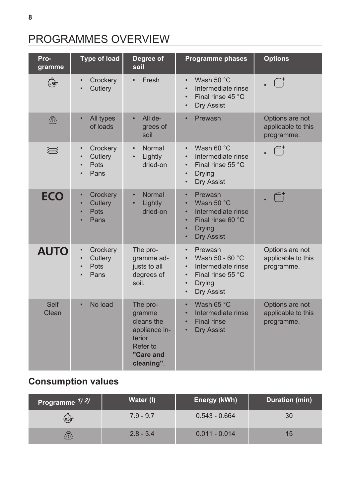# <span id="page-7-0"></span>PROGRAMMES OVERVIEW

| Pro-          | Type of load                                     | Degree of                                                                                           | Programme phases                                                                                                                                                            | <b>Options</b>                                      |
|---------------|--------------------------------------------------|-----------------------------------------------------------------------------------------------------|-----------------------------------------------------------------------------------------------------------------------------------------------------------------------------|-----------------------------------------------------|
| gramme        |                                                  | soil                                                                                                |                                                                                                                                                                             |                                                     |
| (≡50°         | Crockery<br>$\bullet$<br>Cutlery                 | Fresh<br>$\bullet$                                                                                  | Wash $50 °C$<br>$\bullet$<br>Intermediate rinse<br>Final rinse 45 °C<br><b>Dry Assist</b><br>$\bullet$                                                                      | $\mathcal{f}^{\ast}$                                |
| 凞             | All types<br>$\bullet$<br>of loads               | All de-<br>$\bullet$<br>grees of<br>soil                                                            | Prewash<br>$\bullet$                                                                                                                                                        | Options are not<br>applicable to this<br>programme. |
| ∖             | Crockery<br>$\bullet$<br>Cutlery<br>Pots<br>Pans | Normal<br>$\bullet$<br>Lightly<br>dried-on                                                          | Wash 60 $\degree$ C<br>$\bullet$<br>Intermediate rinse<br>Final rinse 55 °C<br>$\bullet$<br><b>Drying</b><br>$\bullet$<br>Dry Assist<br>$\bullet$                           |                                                     |
| <b>ECO</b>    | Crockery<br>$\bullet$<br>Cutlery<br>Pots<br>Pans | Normal<br>$\bullet$<br>Lightly<br>$\bullet$<br>dried-on                                             | Prewash<br>$\bullet$<br>Wash 50 °C<br>$\bullet$<br>Intermediate rinse<br>$\bullet$<br>Final rinse 60 °C<br><b>Drying</b><br>$\bullet$<br><b>Dry Assist</b><br>$\bullet$     | fi                                                  |
| <b>AUTO</b>   | Crockery<br>Cutlery<br>Pots<br>Pans              | The pro-<br>gramme ad-<br>justs to all<br>degrees of<br>soil.                                       | Prewash<br>$\bullet$<br>Wash 50 - 60 °C<br>$\bullet$<br>Intermediate rinse<br>$\bullet$<br>Final rinse 55 °C<br>$\bullet$<br>Drying<br>$\bullet$<br>Dry Assist<br>$\bullet$ | Options are not<br>applicable to this<br>programme. |
| Self<br>Clean | No load                                          | The pro-<br>gramme<br>cleans the<br>appliance in-<br>terior.<br>Refer to<br>"Care and<br>cleaning". | Wash 65 °C<br>$\bullet$<br>Intermediate rinse<br>$\bullet$<br><b>Final rinse</b><br>$\bullet$<br><b>Dry Assist</b><br>$\bullet$                                             | Options are not<br>applicable to this<br>programme. |

# **Consumption values**

| Programme 1/2/ | Water (I)   | Energy (kWh)    | Duration (min) |
|----------------|-------------|-----------------|----------------|
| (≡5ò°          | $7.9 - 9.7$ | $0.543 - 0.664$ | 30             |
| 帶              | $2.8 - 3.4$ | $0.011 - 0.014$ | 15             |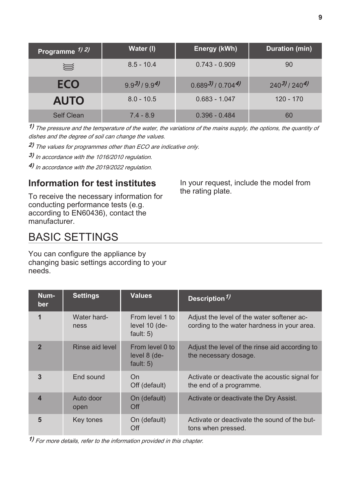<span id="page-8-0"></span>

| Programme 1) 2) | Water (I)         | Energy (kWh)          | Duration (min)              |
|-----------------|-------------------|-----------------------|-----------------------------|
| ₩               | $8.5 - 10.4$      | $0.743 - 0.909$       | 90                          |
| <b>ECO</b>      | $9.9^{3}/9.9^{4}$ | $0.689^{3}/0.704^{4}$ | $240^{3}$ /240 <sup>4</sup> |
| <b>AUTO</b>     | $8.0 - 10.5$      | $0.683 - 1.047$       | $120 - 170$                 |
| Self Clean      | $7.4 - 8.9$       | $0.396 - 0.484$       | 60                          |

**1)** The pressure and the temperature of the water, the variations of the mains supply, the options, the quantity of dishes and the degree of soil can change the values.

**2)** The values for programmes other than ECO are indicative only.

**3)**  In accordance with the 1016/2010 regulation.

**4)**  In accordance with the 2019/2022 regulation.

### **Information for test institutes**

To receive the necessary information for conducting performance tests (e.g. according to EN60436), contact the manufacturer.

#### In your request, include the model from the rating plate.

# BASIC SETTINGS

You can configure the appliance by changing basic settings according to your needs.

| Num-<br><b>ber</b>      | <b>Settings</b>     | <b>Values</b>                                     | Description <sup>1)</sup>                                                                 |
|-------------------------|---------------------|---------------------------------------------------|-------------------------------------------------------------------------------------------|
| $\overline{\mathbf{1}}$ | Water hard-<br>ness | From level 1 to<br>level $10$ (de-<br>fault: $5)$ | Adjust the level of the water softener ac-<br>cording to the water hardness in your area. |
| $\overline{2}$          | Rinse aid level     | From level $0$ to<br>level 8 (de-<br>fault: $5)$  | Adjust the level of the rinse aid according to<br>the necessary dosage.                   |
| 3                       | End sound           | On<br>Off (default)                               | Activate or deactivate the acoustic signal for<br>the end of a programme.                 |
| 4                       | Auto door<br>open   | On (default)<br>Off                               | Activate or deactivate the Dry Assist.                                                    |
| 5                       | Key tones           | On (default)<br>Off                               | Activate or deactivate the sound of the but-<br>tons when pressed.                        |

**1)** For more details, refer to the information provided in this chapter.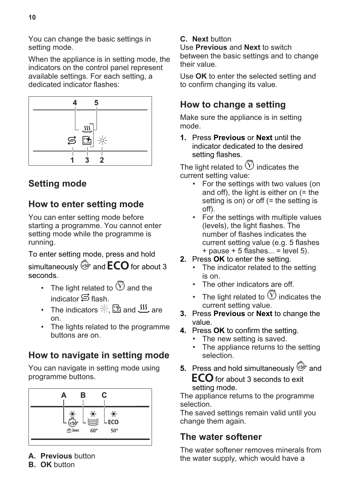When the appliance is in setting mode, the indicators on the control panel represent available settings. For each setting, a dedicated indicator flashes:



# **Setting mode**

### **How to enter setting mode**

You can enter setting mode before starting a programme. You cannot enter setting mode while the programme is running.

To enter setting mode, press and hold simultaneously  $\widehat{\mathbb{S}^{\circ}}$  and  $\mathsf{ECO}$  for about 3 seconds.

- The light related to  $\widehat{\mathbb{O}}$  and the indicator  $\triangle$  flash.
- The indicators  $\mathbb{Z} \boxtimes$  and  $\mathfrak{W}$  are on.
- The lights related to the programme buttons are on.

# **How to navigate in setting mode**

You can navigate in setting mode using programme buttons.



- **A. Previous** button
- **B. OK** button

#### **C. Next** button

Use **Previous** and **Next** to switch between the basic settings and to change their value.

Use **OK** to enter the selected setting and to confirm changing its value.

### **How to change a setting**

Make sure the appliance is in setting mode.

**1.** Press **Previous** or **Next** until the indicator dedicated to the desired setting flashes.

The light related to  $\Im$  indicates the current setting value:

- For the settings with two values (on and off), the light is either on (= the setting is on) or off (= the setting is off).
- For the settings with multiple values (levels), the light flashes. The number of flashes indicates the current setting value (e.g. 5 flashes  $+$  pause  $+$  5 flashes... = level 5).
- **2.** Press **OK** to enter the setting.
	- The indicator related to the setting is on.
	- The other indicators are off.
	- The light related to  $\mathfrak V$  indicates the current setting value.
- **3.** Press **Previous** or **Next** to change the value.
- **4.** Press **OK** to confirm the setting.
	- The new setting is saved.
	- The appliance returns to the setting selection.
- **5.** Press and hold simultaneously  $\overleftrightarrow{\epsilon}_{0}^{\circ}$  and **ECO** for about 3 seconds to exit setting mode.

The appliance returns to the programme selection.

The saved settings remain valid until you change them again.

### **The water softener**

The water softener removes minerals from the water supply, which would have a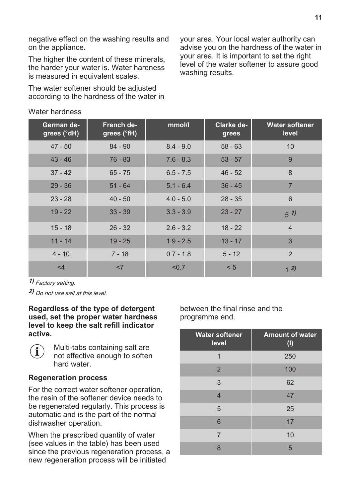negative effect on the washing results and on the appliance.

The higher the content of these minerals. the harder your water is. Water hardness is measured in equivalent scales.

The water softener should be adjusted according to the hardness of the water in your area. Your local water authority can advise you on the hardness of the water in your area. It is important to set the right level of the water softener to assure good washing results.

| German de-<br>grees (°dH) | French de-<br>grees (°fH) | mmol/l      | Clarke de-<br>grees | <b>Water softener</b><br>level |
|---------------------------|---------------------------|-------------|---------------------|--------------------------------|
| $47 - 50$                 | $84 - 90$                 | $8.4 - 9.0$ | $58 - 63$           | 10                             |
| $43 - 46$                 | $76 - 83$                 | $7.6 - 8.3$ | $53 - 57$           | 9                              |
| $37 - 42$                 | $65 - 75$                 | $6.5 - 7.5$ | $46 - 52$           | 8                              |
| $29 - 36$                 | $51 - 64$                 | $5.1 - 6.4$ | $36 - 45$           | $\overline{7}$                 |
| $23 - 28$                 | $40 - 50$                 | $4.0 - 5.0$ | $28 - 35$           | 6                              |
| $19 - 22$                 | $33 - 39$                 | $3.3 - 3.9$ | $23 - 27$           | 5/1                            |
| $15 - 18$                 | $26 - 32$                 | $2.6 - 3.2$ | $18 - 22$           | $\overline{4}$                 |
| $11 - 14$                 | $19 - 25$                 | $1.9 - 2.5$ | $13 - 17$           | 3                              |
| $4 - 10$                  | $7 - 18$                  | $0.7 - 1.8$ | $5 - 12$            | $\mathfrak{D}$                 |
| $<$ 4                     | <7                        | < 0.7       | < 5                 | 12)                            |

Water hardness

**1)** Factory setting.

**2)** Do not use salt at this level.

#### **Regardless of the type of detergent used, set the proper water hardness level to keep the salt refill indicator active.**



#### **Regeneration process**

For the correct water softener operation, the resin of the softener device needs to be regenerated regularly. This process is automatic and is the part of the normal dishwasher operation.

When the prescribed quantity of water (see values in the table) has been used since the previous regeneration process, a new regeneration process will be initiated

between the final rinse and the programme end.

| <b>Water softener</b><br>level | <b>Amount of water</b><br>(1) |
|--------------------------------|-------------------------------|
| 1                              | 250                           |
| $\overline{2}$                 | 100                           |
| 3                              | 62                            |
| $\overline{4}$                 | 47                            |
| 5                              | 25                            |
| 6                              | 17                            |
| $\overline{7}$                 | 10                            |
| 8                              | 5                             |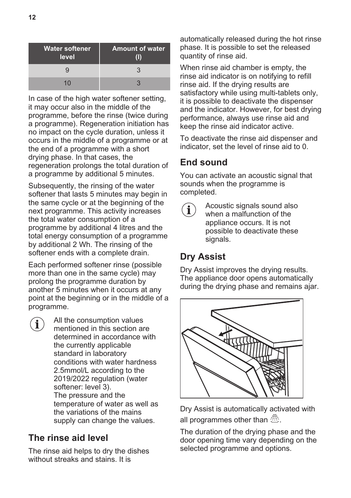| <b>Water softener</b><br>level | <b>Amount of water</b> |
|--------------------------------|------------------------|
|                                |                        |
| 10                             |                        |

In case of the high water softener setting. it may occur also in the middle of the programme, before the rinse (twice during a programme). Regeneration initiation has no impact on the cycle duration, unless it occurs in the middle of a programme or at the end of a programme with a short drying phase. In that cases, the regeneration prolongs the total duration of a programme by additional 5 minutes.

Subsequently, the rinsing of the water softener that lasts 5 minutes may begin in the same cycle or at the beginning of the next programme. This activity increases the total water consumption of a programme by additional 4 litres and the total energy consumption of a programme by additional 2 Wh. The rinsing of the softener ends with a complete drain.

Each performed softener rinse (possible more than one in the same cycle) may prolong the programme duration by another 5 minutes when it occurs at any point at the beginning or in the middle of a programme.

 $\mathbf i$ 

All the consumption values mentioned in this section are determined in accordance with the currently applicable standard in laboratory conditions with water hardness 2.5mmol/L according to the 2019/2022 regulation (water softener: level 3). The pressure and the temperature of water as well as the variations of the mains supply can change the values.

## **The rinse aid level**

The rinse aid helps to dry the dishes without streaks and stains. It is

automatically released during the hot rinse phase. It is possible to set the released quantity of rinse aid.

When rinse aid chamber is empty, the rinse aid indicator is on notifying to refill rinse aid. If the drying results are satisfactory while using multi-tablets only, it is possible to deactivate the dispenser and the indicator. However, for best drying performance, always use rinse aid and keep the rinse aid indicator active.

To deactivate the rinse aid dispenser and indicator, set the level of rinse aid to 0.

## **End sound**

You can activate an acoustic signal that sounds when the programme is completed.

Acoustic signals sound also when a malfunction of the appliance occurs. It is not possible to deactivate these signals.

# **Dry Assist**

Dry Assist improves the drying results. The appliance door opens automatically during the drying phase and remains ajar.



Dry Assist is automatically activated with all programmes other than  $\mathbb{R}$ .

The duration of the drying phase and the door opening time vary depending on the selected programme and options.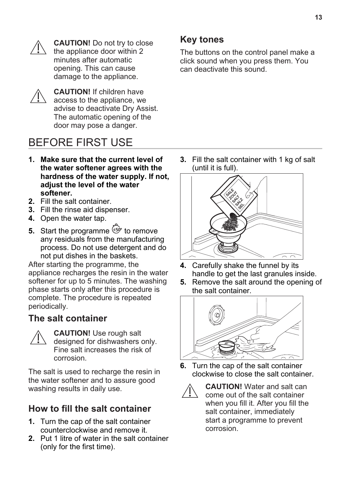<span id="page-12-0"></span>

**CAUTION!** Do not try to close the appliance door within 2 minutes after automatic opening. This can cause damage to the appliance.



**CAUTION!** If children have access to the appliance, we advise to deactivate Dry Assist. The automatic opening of the door may pose a danger.

# BEFORE FIRST USE

- **1. Make sure that the current level of the water softener agrees with the hardness of the water supply. If not, adjust the level of the water softener.**
- **2.** Fill the salt container.
- **3.** Fill the rinse aid dispenser.
- **4.** Open the water tap.
- **5.** Start the programme  $\epsilon$ <sup>50°</sup> to remove any residuals from the manufacturing process. Do not use detergent and do not put dishes in the baskets.

After starting the programme, the appliance recharges the resin in the water softener for up to 5 minutes. The washing phase starts only after this procedure is complete. The procedure is repeated periodically.

### **The salt container**



**CAUTION!** Use rough salt designed for dishwashers only. Fine salt increases the risk of corrosion.

The salt is used to recharge the resin in the water softener and to assure good washing results in daily use.

## **How to fill the salt container**

- **1.** Turn the cap of the salt container counterclockwise and remove it.
- **2.** Put 1 litre of water in the salt container (only for the first time).

### **Key tones**

The buttons on the control panel make a click sound when you press them. You can deactivate this sound.

**3.** Fill the salt container with 1 kg of salt (until it is full).



- **4.** Carefully shake the funnel by its handle to get the last granules inside.
- **5.** Remove the salt around the opening of the salt container.



**6.** Turn the cap of the salt container clockwise to close the salt container.



**CAUTION!** Water and salt can come out of the salt container when you fill it. After you fill the salt container, immediately start a programme to prevent corrosion.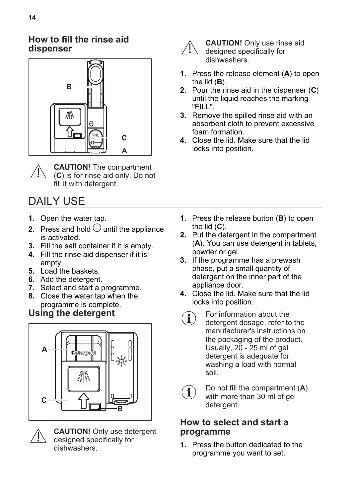#### <span id="page-13-0"></span>**How to fill the rinse aid dispenser**



**CAUTION!** The compartment (**C**) is for rinse aid only. Do not fill it with detergent.

# DAILY USE

- **1.** Open the water tap.
- **2.** Press and hold  $\mathbb{O}$  until the appliance is activated.
- **3.** Fill the salt container if it is empty.
- **4.** Fill the rinse aid dispenser if it is empty.
- **5.** Load the baskets.
- **6.** Add the detergent.
- **7.** Select and start a programme.
- **8.** Close the water tap when the programme is complete.

## **Using the detergent**





**CAUTION!** Only use detergent designed specifically for dishwashers.



**CAUTION!** Only use rinse aid designed specifically for dishwashers.

- **1.** Press the release element (**A**) to open the lid (**B**).
- **2.** Pour the rinse aid in the dispenser (**C**) until the liquid reaches the marking "FILL".
- **3.** Remove the spilled rinse aid with an absorbent cloth to prevent excessive foam formation.
- **4.** Close the lid. Make sure that the lid locks into position.

- **1.** Press the release button (**B**) to open the lid (**C**).
- **2.** Put the detergent in the compartment (**A**). You can use detergent in tablets, powder or gel.
- **3.** If the programme has a prewash phase, put a small quantity of detergent on the inner part of the appliance door.
- **4.** Close the lid. Make sure that the lid locks into position.
- For information about the  $\mathbf{i}$ detergent dosage, refer to the manufacturer's instructions on the packaging of the product. Usually, 20 - 25 ml of gel detergent is adequate for washing a load with normal soil.



Do not fill the compartment (**A**) with more than 30 ml of gel detergent.

#### **How to select and start a programme**

**1.** Press the button dedicated to the programme you want to set.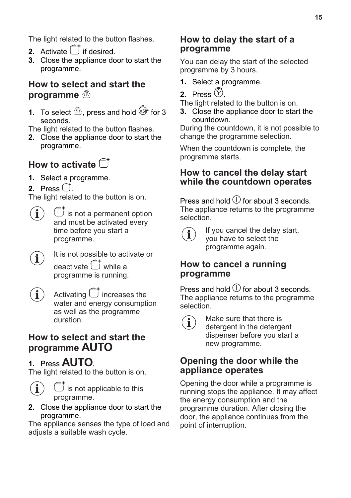The light related to the button flashes.

- **2.** Activate  $\widehat{\mathbb{C}}^+$  if desired.
- **3.** Close the appliance door to start the programme.

#### **How to select and start the programme**

**1.** To select  $\overline{\mathbb{R}}$ , press and hold  $\overline{\mathbb{S}}$  for 3 seconds.

The light related to the button flashes.

**2.** Close the appliance door to start the programme.

# **How to activate**

- **1.** Select a programme.
- **2.** Press  $\overline{\cup}$ .

The light related to the button is on.

- $\hat{\mathbb{C}}^{\dagger}$  is not a permanent option  $\mathbf i$ and must be activated every time before you start a programme.
- It is not possible to activate or  $\mathbf{i}$ deactivate  $\hat{\sqsubset}^{\dagger}$  while a programme is running.
- Activating  $\hat{\Box}^*$  increases the  $\mathbf{\hat{i}}$ water and energy consumption as well as the programme duration.

### **How to select and start the programme**

## **1.** Press **AUTO**

The light related to the button is on.



 $\overline{J}$  is not applicable to this programme.

**2.** Close the appliance door to start the programme.

The appliance senses the type of load and adiusts a suitable wash cycle.

### **How to delay the start of a programme**

You can delay the start of the selected programme by 3 hours.

- **1.** Select a programme.
- **2.** Press  $(Y)$

The light related to the button is on.

**3.** Close the appliance door to start the countdown.

During the countdown, it is not possible to change the programme selection.

When the countdown is complete, the programme starts.

#### **How to cancel the delay start while the countdown operates**

Press and hold  $\Box$  for about 3 seconds. The appliance returns to the programme selection.



If you cancel the delay start, you have to select the programme again.

#### **How to cancel a running programme**

Press and hold  $\mathbb O$  for about 3 seconds. The appliance returns to the programme selection.



Make sure that there is detergent in the detergent dispenser before you start a new programme.

#### **Opening the door while the appliance operates**

Opening the door while a programme is running stops the appliance. It may affect the energy consumption and the programme duration. After closing the door, the appliance continues from the point of interruption.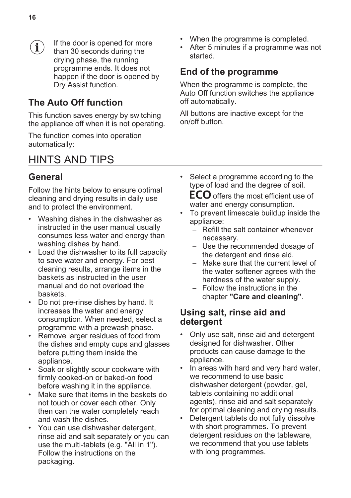<span id="page-15-0"></span>If the door is opened for more  $\mathbf{1}$ than 30 seconds during the drying phase, the running programme ends. It does not happen if the door is opened by Dry Assist function.

### **The Auto Off function**

This function saves energy by switching the appliance off when it is not operating.

The function comes into operation automatically:

# HINTS AND TIPS

### **General**

Follow the hints below to ensure optimal cleaning and drying results in daily use and to protect the environment.

- Washing dishes in the dishwasher as instructed in the user manual usually consumes less water and energy than washing dishes by hand.
- Load the dishwasher to its full capacity to save water and energy. For best cleaning results, arrange items in the baskets as instructed in the user manual and do not overload the baskets.
- Do not pre-rinse dishes by hand. It increases the water and energy consumption. When needed, select a programme with a prewash phase.
- Remove larger residues of food from the dishes and empty cups and glasses before putting them inside the appliance.
- Soak or slightly scour cookware with firmly cooked-on or baked-on food before washing it in the appliance.
- Make sure that items in the baskets do not touch or cover each other. Only then can the water completely reach and wash the dishes.
- You can use dishwasher detergent, rinse aid and salt separately or you can use the multi-tablets (e.g. ''All in 1''). Follow the instructions on the packaging.
- When the programme is completed.
- After 5 minutes if a programme was not started.

## **End of the programme**

When the programme is complete, the Auto Off function switches the appliance off automatically.

All buttons are inactive except for the on/off button.

• Select a programme according to the type of load and the degree of soil.

**ECO** offers the most efficient use of water and energy consumption.

- To prevent limescale buildup inside the appliance:
	- Refill the salt container whenever necessary.
	- Use the recommended dosage of the detergent and rinse aid.
	- Make sure that the current level of the water softener agrees with the hardness of the water supply.
	- Follow the instructions in the chapter **"Care and cleaning"**.

#### **Using salt, rinse aid and detergent**

- Only use salt, rinse aid and detergent designed for dishwasher. Other products can cause damage to the appliance.
- In areas with hard and very hard water, we recommend to use basic dishwasher detergent (powder, gel, tablets containing no additional agents), rinse aid and salt separately for optimal cleaning and drying results.
- Detergent tablets do not fully dissolve with short programmes. To prevent detergent residues on the tableware, we recommend that you use tablets with long programmes.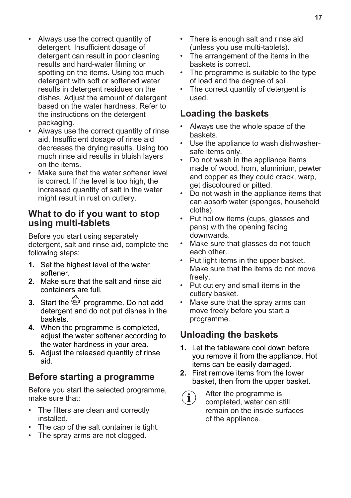- Always use the correct quantity of detergent. Insufficient dosage of detergent can result in poor cleaning results and hard-water filming or spotting on the items. Using too much detergent with soft or softened water results in detergent residues on the dishes. Adjust the amount of detergent based on the water hardness. Refer to the instructions on the detergent packaging.
- Always use the correct quantity of rinse aid. Insufficient dosage of rinse aid decreases the drying results. Using too much rinse aid results in bluish layers on the items.
- Make sure that the water softener level is correct. If the level is too high, the increased quantity of salt in the water might result in rust on cutlery.

#### **What to do if you want to stop using multi-tablets**

Before you start using separately detergent, salt and rinse aid, complete the following steps:

- **1.** Set the highest level of the water softener.
- **2.** Make sure that the salt and rinse aid containers are full.
- **3.** Start the  $\overline{\mathbb{S}^{0}}$  programme. Do not add detergent and do not put dishes in the baskets.
- **4.** When the programme is completed, adjust the water softener according to the water hardness in your area.
- **5.** Adjust the released quantity of rinse aid.

### **Before starting a programme**

Before you start the selected programme, make sure that:

- The filters are clean and correctly installed.
- The cap of the salt container is tight.
- The spray arms are not clogged.
- There is enough salt and rinse aid (unless you use multi-tablets).
- The arrangement of the items in the baskets is correct.
- The programme is suitable to the type of load and the degree of soil.
- The correct quantity of detergent is used.

### **Loading the baskets**

- Always use the whole space of the baskets.
- Use the appliance to wash dishwashersafe items only.
- Do not wash in the appliance items made of wood, horn, aluminium, pewter and copper as they could crack, warp, get discoloured or pitted.
- Do not wash in the appliance items that can absorb water (sponges, household cloths).
- Put hollow items (cups, glasses and pans) with the opening facing downwards.
- Make sure that glasses do not touch each other.
- Put light items in the upper basket. Make sure that the items do not move freely.
- Put cutlery and small items in the cutlery basket.
- Make sure that the spray arms can move freely before you start a programme.

## **Unloading the baskets**

- **1.** Let the tableware cool down before you remove it from the appliance. Hot items can be easily damaged.
- **2.** First remove items from the lower basket, then from the upper basket.
	- After the programme is  $\mathbf i$ completed, water can still remain on the inside surfaces of the appliance.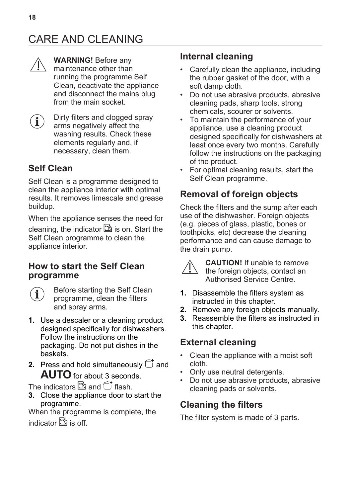# <span id="page-17-0"></span>CARE AND CLEANING



**WARNING!** Before any maintenance other than running the programme Self Clean, deactivate the appliance and disconnect the mains plug from the main socket.

Dirty filters and clogged spray  $\mathbf{\hat{i}}$ arms negatively affect the washing results. Check these elements regularly and, if necessary, clean them.

# **Self Clean**

Self Clean is a programme designed to clean the appliance interior with optimal results. It removes limescale and grease buildup.

When the appliance senses the need for cleaning, the indicator  $\mathbb{S}$  is on. Start the Self Clean programme to clean the appliance interior.

#### **How to start the Self Clean programme**

Before starting the Self Clean programme, clean the filters and spray arms.

- **1.** Use a descaler or a cleaning product designed specifically for dishwashers. Follow the instructions on the packaging. Do not put dishes in the baskets.
- **2.** Press and hold simultaneously  $\overline{\mathbb{C}}^{\dagger}$  and AUTO for about 3 seconds.

The indicators  $\mathbb{E}$  and  $\hat{\mathsf{f}}$  flash.

**3.** Close the appliance door to start the programme.

When the programme is complete, the indicator  $\mathbb{B}$  is off.

### **Internal cleaning**

- Carefully clean the appliance, including the rubber gasket of the door, with a soft damp cloth.
- Do not use abrasive products, abrasive cleaning pads, sharp tools, strong chemicals, scourer or solvents.
- To maintain the performance of your appliance, use a cleaning product designed specifically for dishwashers at least once every two months. Carefully follow the instructions on the packaging of the product.
- For optimal cleaning results, start the Self Clean programme.

# **Removal of foreign objects**

Check the filters and the sump after each use of the dishwasher. Foreign objects (e.g. pieces of glass, plastic, bones or toothpicks, etc) decrease the cleaning performance and can cause damage to the drain pump.



**CAUTION!** If unable to remove the foreign objects, contact an Authorised Service Centre.

- **1.** Disassemble the filters system as instructed in this chapter.
- **2.** Remove any foreign objects manually.
- **3.** Reassemble the filters as instructed in this chapter.

## **External cleaning**

- Clean the appliance with a moist soft cloth.
- Only use neutral detergents.
- Do not use abrasive products, abrasive cleaning pads or solvents.

# **Cleaning the filters**

The filter system is made of 3 parts.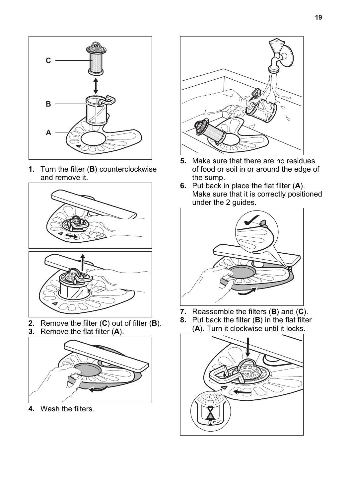

**1.** Turn the filter (**B**) counterclockwise and remove it.





- **2.** Remove the filter (**C**) out of filter (**B**).
- **3.** Remove the flat filter (**A**).



**4.** Wash the filters.



- **5.** Make sure that there are no residues of food or soil in or around the edge of the sump.
- **6.** Put back in place the flat filter (**A**). Make sure that it is correctly positioned under the 2 guides.



- **7.** Reassemble the filters (**B**) and (**C**).
- **8.** Put back the filter (**B**) in the flat filter (**A**). Turn it clockwise until it locks.

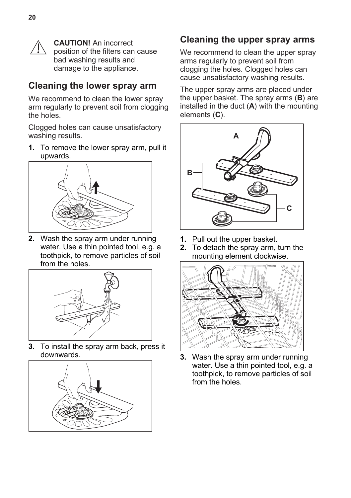

**CAUTION!** An incorrect position of the filters can cause bad washing results and damage to the appliance.

### **Cleaning the lower spray arm**

We recommend to clean the lower spray arm regularly to prevent soil from clogging the holes.

Clogged holes can cause unsatisfactory washing results.

**1.** To remove the lower spray arm, pull it upwards.



**2.** Wash the spray arm under running water. Use a thin pointed tool, e.g. a toothpick, to remove particles of soil from the holes.



**3.** To install the spray arm back, press it downwards.



#### **Cleaning the upper spray arms**

We recommend to clean the upper spray arms regularly to prevent soil from clogging the holes. Clogged holes can cause unsatisfactory washing results.

The upper spray arms are placed under the upper basket. The spray arms (**B**) are installed in the duct (**A**) with the mounting elements (**C**).



- **1.** Pull out the upper basket.
- **2.** To detach the spray arm, turn the mounting element clockwise.



**3.** Wash the spray arm under running water. Use a thin pointed tool, e.g. a toothpick, to remove particles of soil from the holes.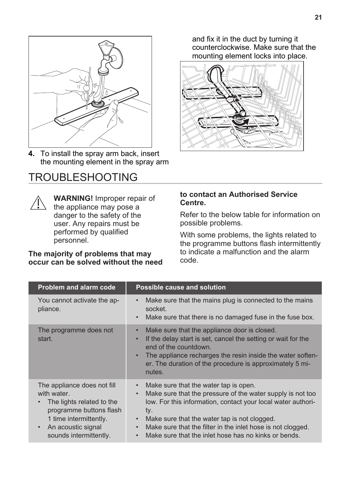<span id="page-20-0"></span>

**4.** To install the spray arm back, insert the mounting element in the spray arm

# TROUBLESHOOTING



**WARNING!** Improper repair of the appliance may pose a danger to the safety of the user. Any repairs must be performed by qualified personnel.

#### **The majority of problems that may occur can be solved without the need**

and fix it in the duct by turning it counterclockwise. Make sure that the mounting element locks into place.



#### **to contact an Authorised Service Centre.**

Refer to the below table for information on possible problems.

With some problems, the lights related to the programme buttons flash intermittently to indicate a malfunction and the alarm code.

| <b>Problem and alarm code</b>                                                                                                                                                             | Possible cause and solution                                                                                                                                                                                                                                                                                                                                                                                        |
|-------------------------------------------------------------------------------------------------------------------------------------------------------------------------------------------|--------------------------------------------------------------------------------------------------------------------------------------------------------------------------------------------------------------------------------------------------------------------------------------------------------------------------------------------------------------------------------------------------------------------|
| You cannot activate the ap-<br>pliance.                                                                                                                                                   | Make sure that the mains plug is connected to the mains<br>$\bullet$<br>socket.<br>Make sure that there is no damaged fuse in the fuse box.<br>$\bullet$                                                                                                                                                                                                                                                           |
| The programme does not<br>start.                                                                                                                                                          | Make sure that the appliance door is closed.<br>$\bullet$<br>If the delay start is set, cancel the setting or wait for the<br>$\bullet$<br>end of the countdown.<br>The appliance recharges the resin inside the water soften-<br>$\bullet$<br>er. The duration of the procedure is approximately 5 mi-<br>nutes.                                                                                                  |
| The appliance does not fill<br>with water.<br>The lights related to the<br>programme buttons flash<br>1 time intermittently.<br>An acoustic signal<br>$\bullet$<br>sounds intermittently. | Make sure that the water tap is open.<br>$\bullet$<br>Make sure that the pressure of the water supply is not too<br>$\bullet$<br>low. For this information, contact your local water authori-<br>ty.<br>Make sure that the water tap is not clogged.<br>$\bullet$<br>Make sure that the filter in the inlet hose is not clogged.<br>$\bullet$<br>Make sure that the inlet hose has no kinks or bends.<br>$\bullet$ |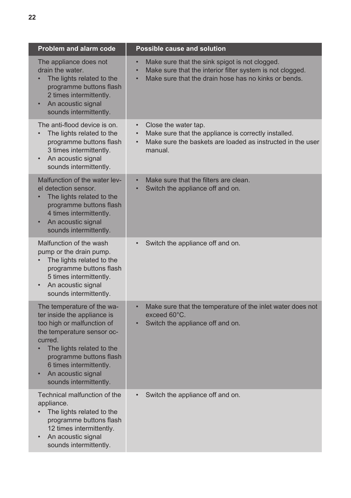| <b>Problem and alarm code</b>                                                                                                                                                                                                                                       | <b>Possible cause and solution</b>                                                                                                                                               |
|---------------------------------------------------------------------------------------------------------------------------------------------------------------------------------------------------------------------------------------------------------------------|----------------------------------------------------------------------------------------------------------------------------------------------------------------------------------|
| The appliance does not<br>drain the water.<br>The lights related to the<br>programme buttons flash<br>2 times intermittently.<br>An acoustic signal<br>sounds intermittently.                                                                                       | Make sure that the sink spigot is not clogged.<br>Make sure that the interior filter system is not clogged.<br>$\bullet$<br>Make sure that the drain hose has no kinks or bends. |
| The anti-flood device is on.<br>The lights related to the<br>programme buttons flash<br>3 times intermittently.<br>An acoustic signal<br>sounds intermittently.                                                                                                     | Close the water tap.<br>Make sure that the appliance is correctly installed.<br>Make sure the baskets are loaded as instructed in the user<br>$\bullet$<br>manual.               |
| Malfunction of the water lev-<br>el detection sensor.<br>The lights related to the<br>programme buttons flash<br>4 times intermittently.<br>An acoustic signal<br>sounds intermittently.                                                                            | Make sure that the filters are clean.<br>Switch the appliance off and on.                                                                                                        |
| Malfunction of the wash<br>pump or the drain pump.<br>The lights related to the<br>programme buttons flash<br>5 times intermittently.<br>An acoustic signal<br>sounds intermittently.                                                                               | Switch the appliance off and on.                                                                                                                                                 |
| The temperature of the wa-<br>ter inside the appliance is<br>too high or malfunction of<br>the temperature sensor oc-<br>curred.<br>The lights related to the<br>programme buttons flash<br>6 times intermittently.<br>An acoustic signal<br>sounds intermittently. | Make sure that the temperature of the inlet water does not<br>exceed 60°C.<br>Switch the appliance off and on.                                                                   |
| Technical malfunction of the<br>appliance.<br>The lights related to the<br>programme buttons flash<br>12 times intermittently.<br>An acoustic signal<br>sounds intermittently.                                                                                      | Switch the appliance off and on.                                                                                                                                                 |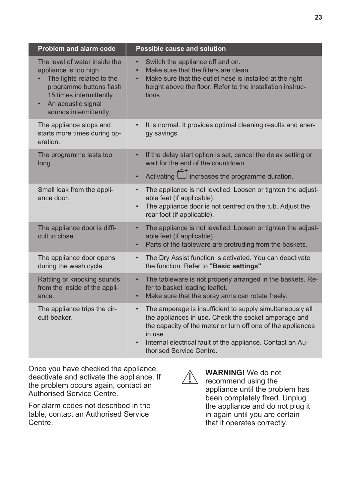| <b>Problem and alarm code</b>                                                                                                                                                                            | <b>Possible cause and solution</b>                                                                                                                                                                                                                                                                 |
|----------------------------------------------------------------------------------------------------------------------------------------------------------------------------------------------------------|----------------------------------------------------------------------------------------------------------------------------------------------------------------------------------------------------------------------------------------------------------------------------------------------------|
| The level of water inside the<br>appliance is too high.<br>The lights related to the<br>programme buttons flash<br>15 times intermittently.<br>An acoustic signal<br>$\bullet$<br>sounds intermittently. | Switch the appliance off and on.<br>$\bullet$<br>Make sure that the filters are clean.<br>$\bullet$<br>Make sure that the outlet hose is installed at the right<br>$\bullet$<br>height above the floor. Refer to the installation instruc-<br>tions.                                               |
| The appliance stops and<br>starts more times during op-<br>eration.                                                                                                                                      | It is normal. It provides optimal cleaning results and ener-<br>$\bullet$<br>gy savings.                                                                                                                                                                                                           |
| The programme lasts too<br>long.                                                                                                                                                                         | If the delay start option is set, cancel the delay setting or<br>$\bullet$<br>wait for the end of the countdown.<br>Activating $\hat{\Box}$ increases the programme duration.                                                                                                                      |
| Small leak from the appli-<br>ance door.                                                                                                                                                                 | The appliance is not levelled. Loosen or tighten the adjust-<br>$\bullet$<br>able feet (if applicable).<br>The appliance door is not centred on the tub. Adjust the<br>$\bullet$<br>rear foot (if applicable).                                                                                     |
| The appliance door is diffi-<br>cult to close.                                                                                                                                                           | The appliance is not levelled. Loosen or tighten the adjust-<br>$\bullet$<br>able feet (if applicable).<br>Parts of the tableware are protruding from the baskets.<br>$\bullet$                                                                                                                    |
| The appliance door opens<br>during the wash cycle.                                                                                                                                                       | The Dry Assist function is activated. You can deactivate<br>$\bullet$<br>the function. Refer to "Basic settings".                                                                                                                                                                                  |
| Rattling or knocking sounds<br>from the inside of the appli-<br>ance.                                                                                                                                    | The tableware is not properly arranged in the baskets. Re-<br>$\bullet$<br>fer to basket loading leaflet.<br>Make sure that the spray arms can rotate freely.<br>$\bullet$                                                                                                                         |
| The appliance trips the cir-<br>cuit-beaker.                                                                                                                                                             | The amperage is insufficient to supply simultaneously all<br>$\bullet$<br>the appliances in use. Check the socket amperage and<br>the capacity of the meter or turn off one of the appliances<br>in use.<br>Internal electrical fault of the appliance. Contact an Au-<br>thorised Service Centre. |

Once you have checked the appliance, deactivate and activate the appliance. If the problem occurs again, contact an Authorised Service Centre.

For alarm codes not described in the table, contact an Authorised Service Centre.

 $\mathbb{N}$ 

**WARNING!** We do not recommend using the appliance until the problem has been completely fixed. Unplug the appliance and do not plug it in again until you are certain that it operates correctly.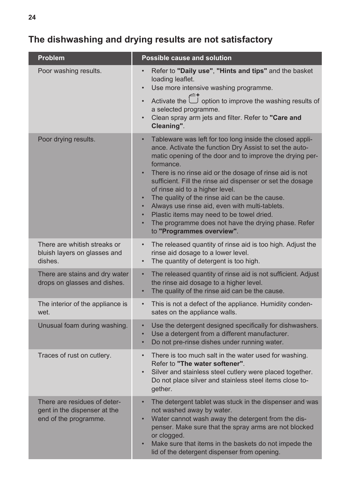# **The dishwashing and drying results are not satisfactory**

| Problem                                                                               | <b>Possible cause and solution</b>                                                                                                                                                                                                                                                                                                                                                                                                                                                                                                                                                                                                        |
|---------------------------------------------------------------------------------------|-------------------------------------------------------------------------------------------------------------------------------------------------------------------------------------------------------------------------------------------------------------------------------------------------------------------------------------------------------------------------------------------------------------------------------------------------------------------------------------------------------------------------------------------------------------------------------------------------------------------------------------------|
| Poor washing results.                                                                 | Refer to "Daily use", "Hints and tips" and the basket<br>loading leaflet.<br>Use more intensive washing programme.                                                                                                                                                                                                                                                                                                                                                                                                                                                                                                                        |
|                                                                                       | Activate the $\hat{\Box}^+$ option to improve the washing results of<br>a selected programme.<br>Clean spray arm jets and filter. Refer to "Care and<br>Cleaning".                                                                                                                                                                                                                                                                                                                                                                                                                                                                        |
| Poor drying results.                                                                  | Tableware was left for too long inside the closed appli-<br>ance. Activate the function Dry Assist to set the auto-<br>matic opening of the door and to improve the drying per-<br>formance.<br>There is no rinse aid or the dosage of rinse aid is not<br>sufficient. Fill the rinse aid dispenser or set the dosage<br>of rinse aid to a higher level.<br>The quality of the rinse aid can be the cause.<br>$\bullet$<br>Always use rinse aid, even with multi-tablets.<br>$\bullet$<br>Plastic items may need to be towel dried.<br>$\bullet$<br>The programme does not have the drying phase. Refer<br>٠<br>to "Programmes overview". |
| There are whitish streaks or<br>bluish layers on glasses and<br>dishes.               | The released quantity of rinse aid is too high. Adjust the<br>$\bullet$<br>rinse aid dosage to a lower level.<br>The quantity of detergent is too high.<br>$\bullet$                                                                                                                                                                                                                                                                                                                                                                                                                                                                      |
| There are stains and dry water<br>drops on glasses and dishes.                        | The released quantity of rinse aid is not sufficient. Adjust<br>$\bullet$<br>the rinse aid dosage to a higher level.<br>The quality of the rinse aid can be the cause.<br>$\bullet$                                                                                                                                                                                                                                                                                                                                                                                                                                                       |
| The interior of the appliance is<br>wet.                                              | This is not a defect of the appliance. Humidity conden-<br>$\bullet$<br>sates on the appliance walls.                                                                                                                                                                                                                                                                                                                                                                                                                                                                                                                                     |
| Unusual foam during washing.                                                          | Use the detergent designed specifically for dishwashers.<br>$\bullet$<br>Use a detergent from a different manufacturer.<br>$\bullet$<br>Do not pre-rinse dishes under running water.<br>$\bullet$                                                                                                                                                                                                                                                                                                                                                                                                                                         |
| Traces of rust on cutlery.                                                            | There is too much salt in the water used for washing.<br>$\bullet$<br>Refer to "The water softener".<br>Silver and stainless steel cutlery were placed together.<br>Do not place silver and stainless steel items close to-<br>gether.                                                                                                                                                                                                                                                                                                                                                                                                    |
| There are residues of deter-<br>gent in the dispenser at the<br>end of the programme. | The detergent tablet was stuck in the dispenser and was<br>$\bullet$<br>not washed away by water.<br>Water cannot wash away the detergent from the dis-<br>penser. Make sure that the spray arms are not blocked<br>or clogged.<br>Make sure that items in the baskets do not impede the<br>lid of the detergent dispenser from opening.                                                                                                                                                                                                                                                                                                  |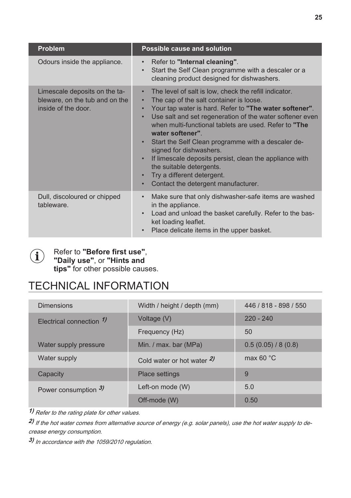<span id="page-24-0"></span>

| <b>Problem</b>                                                                         | Possible cause and solution                                                                                                                                                                                                                                                                                                                                                                                                                                                                                                                                                                         |  |
|----------------------------------------------------------------------------------------|-----------------------------------------------------------------------------------------------------------------------------------------------------------------------------------------------------------------------------------------------------------------------------------------------------------------------------------------------------------------------------------------------------------------------------------------------------------------------------------------------------------------------------------------------------------------------------------------------------|--|
| Odours inside the appliance.                                                           | Refer to "Internal cleaning".<br>$\bullet$<br>Start the Self Clean programme with a descaler or a<br>$\bullet$<br>cleaning product designed for dishwashers.                                                                                                                                                                                                                                                                                                                                                                                                                                        |  |
| Limescale deposits on the ta-<br>bleware, on the tub and on the<br>inside of the door. | The level of salt is low, check the refill indicator.<br>$\bullet$<br>The cap of the salt container is loose.<br>$\bullet$<br>Your tap water is hard. Refer to "The water softener".<br>Use salt and set regeneration of the water softener even<br>$\bullet$<br>when multi-functional tablets are used. Refer to "The<br>water softener"<br>Start the Self Clean programme with a descaler de-<br>signed for dishwashers.<br>If limescale deposits persist, clean the appliance with<br>the suitable detergents.<br>Try a different detergent.<br>Contact the detergent manufacturer.<br>$\bullet$ |  |
| Dull, discoloured or chipped<br>tableware.                                             | Make sure that only dishwasher-safe items are washed<br>$\bullet$<br>in the appliance.<br>Load and unload the basket carefully. Refer to the bas-<br>ket loading leaflet.<br>Place delicate items in the upper basket.                                                                                                                                                                                                                                                                                                                                                                              |  |



#### Refer to **"Before first use"**, **"Daily use"**, or **"Hints and tips"** for other possible causes.

# TECHNICAL INFORMATION

| <b>Dimensions</b>            | Width / height / depth (mm) | 446 / 818 - 898 / 550 |
|------------------------------|-----------------------------|-----------------------|
| Electrical connection $\eta$ | Voltage (V)                 | $220 - 240$           |
|                              | Frequency (Hz)              | 50                    |
| Water supply pressure        | Min. / max. bar (MPa)       | 0.5(0.05)/8(0.8)      |
| Water supply                 | Cold water or hot water $2$ | max 60 $\degree$ C    |
| Capacity                     | <b>Place settings</b>       | 9                     |
| Power consumption 3)         | Left-on mode (W)            | 5.0                   |
|                              | Off-mode (W)                | 0.50                  |
|                              |                             |                       |

**1)** Refer to the rating plate for other values.

**2)**  If the hot water comes from alternative source of energy (e.g. solar panels), use the hot water supply to de‐ crease energy consumption.

**3)**  In accordance with the 1059/2010 regulation.